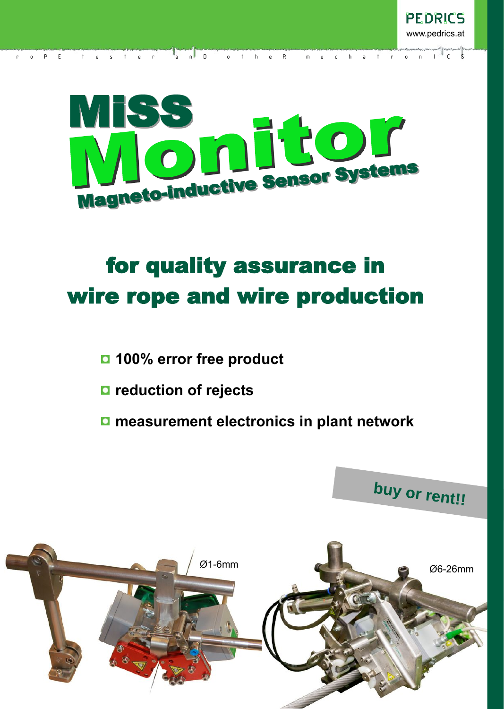

re steer and D o the R m e ch a t r o n I C S

# for quality assurance in wire rope and wire production

- **100% error free product**
- **reduction of rejects**
- **measurement electronics in plant network**

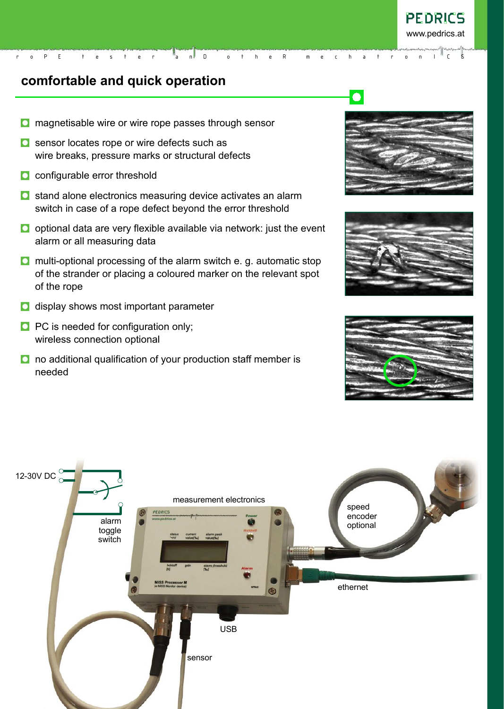# **comfortable and quick operation**

- **O** magnetisable wire or wire rope passes through sensor
- **O** sensor locates rope or wire defects such as wire breaks, pressure marks or structural defects
- **Q** configurable error threshold
- **O** stand alone electronics measuring device activates an alarm switch in case of a rope defect beyond the error threshold
- $\Box$  optional data are very flexible available via network: just the event alarm or all measuring data

r o P E t e s t e r a n D o t h e R m e c h a t r o n I C S

- **O** multi-optional processing of the alarm switch e. g. automatic stop of the strander or placing a coloured marker on the relevant spot of the rope
- **D** display shows most important parameter
- **PC** is needed for configuration only; wireless connection optional
- **O** no additional qualification of your production staff member is needed



 $\bullet$ 





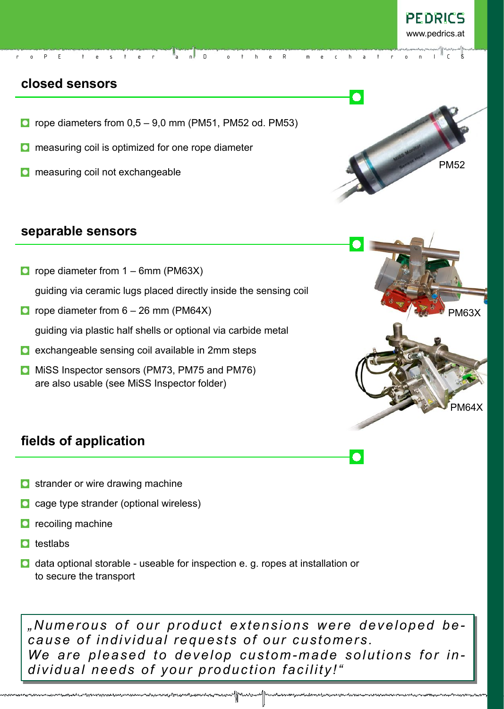## **closed sensors**

 $\Box$  rope diameters from 0,5 – 9,0 mm (PM51, PM52 od. PM53)

r o P E t e s t e r a n D o t h e R m e c h a t r o n I C S

- **C** measuring coil is optimized for one rope diameter
- **O** measuring coil not exchangeable

### **separable sensors**

- **O** rope diameter from  $1 6$ mm (PM63X) guiding via ceramic lugs placed directly inside the sensing coil
- **O** rope diameter from  $6 26$  mm (PM64X)

guiding via plastic half shells or optional via carbide metal

- $\Box$  exchangeable sensing coil available in 2mm steps
- **O** MiSS Inspector sensors (PM73, PM75 and PM76) are also usable (see MiSS Inspector folder)





# **fields of application**

- **O** strander or wire drawing machine
- cage type strander (optional wireless)
- **P** recoiling machine
- $\Box$  testlabs
- $\Box$  data optional storable useable for inspection e. g. ropes at installation or to secure the transport

*"Numerous of our product extensions were developed because of individual requests of our customers. We are pleased to develop custom-made solutions for individual needs of your production facility!"*